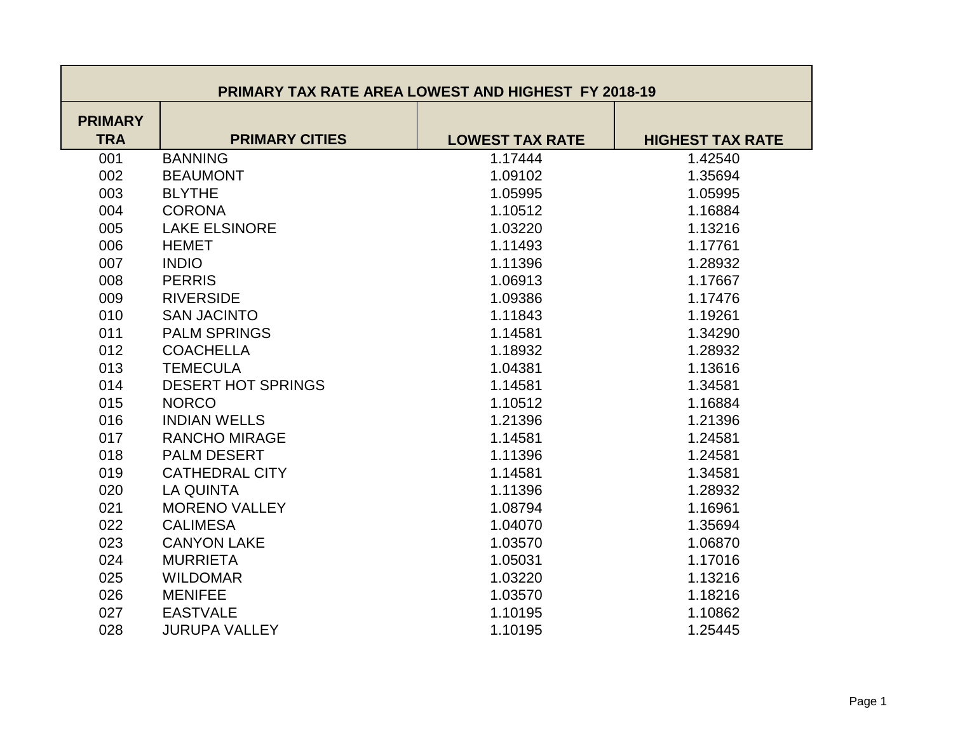| <b>PRIMARY TAX RATE AREA LOWEST AND HIGHEST FY 2018-19</b> |                           |                        |                         |  |
|------------------------------------------------------------|---------------------------|------------------------|-------------------------|--|
| <b>PRIMARY</b><br><b>TRA</b>                               | <b>PRIMARY CITIES</b>     | <b>LOWEST TAX RATE</b> | <b>HIGHEST TAX RATE</b> |  |
| 001                                                        | <b>BANNING</b>            | 1.17444                | 1.42540                 |  |
| 002                                                        | <b>BEAUMONT</b>           | 1.09102                | 1.35694                 |  |
| 003                                                        | <b>BLYTHE</b>             | 1.05995                | 1.05995                 |  |
| 004                                                        | <b>CORONA</b>             | 1.10512                | 1.16884                 |  |
| 005                                                        | <b>LAKE ELSINORE</b>      | 1.03220                | 1.13216                 |  |
| 006                                                        | <b>HEMET</b>              | 1.11493                | 1.17761                 |  |
| 007                                                        | <b>INDIO</b>              | 1.11396                | 1.28932                 |  |
| 008                                                        | <b>PERRIS</b>             | 1.06913                | 1.17667                 |  |
| 009                                                        | <b>RIVERSIDE</b>          | 1.09386                | 1.17476                 |  |
| 010                                                        | <b>SAN JACINTO</b>        | 1.11843                | 1.19261                 |  |
| 011                                                        | <b>PALM SPRINGS</b>       | 1.14581                | 1.34290                 |  |
| 012                                                        | <b>COACHELLA</b>          | 1.18932                | 1.28932                 |  |
| 013                                                        | <b>TEMECULA</b>           | 1.04381                | 1.13616                 |  |
| 014                                                        | <b>DESERT HOT SPRINGS</b> | 1.14581                | 1.34581                 |  |
| 015                                                        | <b>NORCO</b>              | 1.10512                | 1.16884                 |  |
| 016                                                        | <b>INDIAN WELLS</b>       | 1.21396                | 1.21396                 |  |
| 017                                                        | <b>RANCHO MIRAGE</b>      | 1.14581                | 1.24581                 |  |
| 018                                                        | <b>PALM DESERT</b>        | 1.11396                | 1.24581                 |  |
| 019                                                        | <b>CATHEDRAL CITY</b>     | 1.14581                | 1.34581                 |  |
| 020                                                        | <b>LA QUINTA</b>          | 1.11396                | 1.28932                 |  |
| 021                                                        | <b>MORENO VALLEY</b>      | 1.08794                | 1.16961                 |  |
| 022                                                        | <b>CALIMESA</b>           | 1.04070                | 1.35694                 |  |
| 023                                                        | <b>CANYON LAKE</b>        | 1.03570                | 1.06870                 |  |
| 024                                                        | <b>MURRIETA</b>           | 1.05031                | 1.17016                 |  |
| 025                                                        | <b>WILDOMAR</b>           | 1.03220                | 1.13216                 |  |
| 026                                                        | <b>MENIFEE</b>            | 1.03570                | 1.18216                 |  |
| 027                                                        | <b>EASTVALE</b>           | 1.10195                | 1.10862                 |  |
| 028                                                        | <b>JURUPA VALLEY</b>      | 1.10195                | 1.25445                 |  |